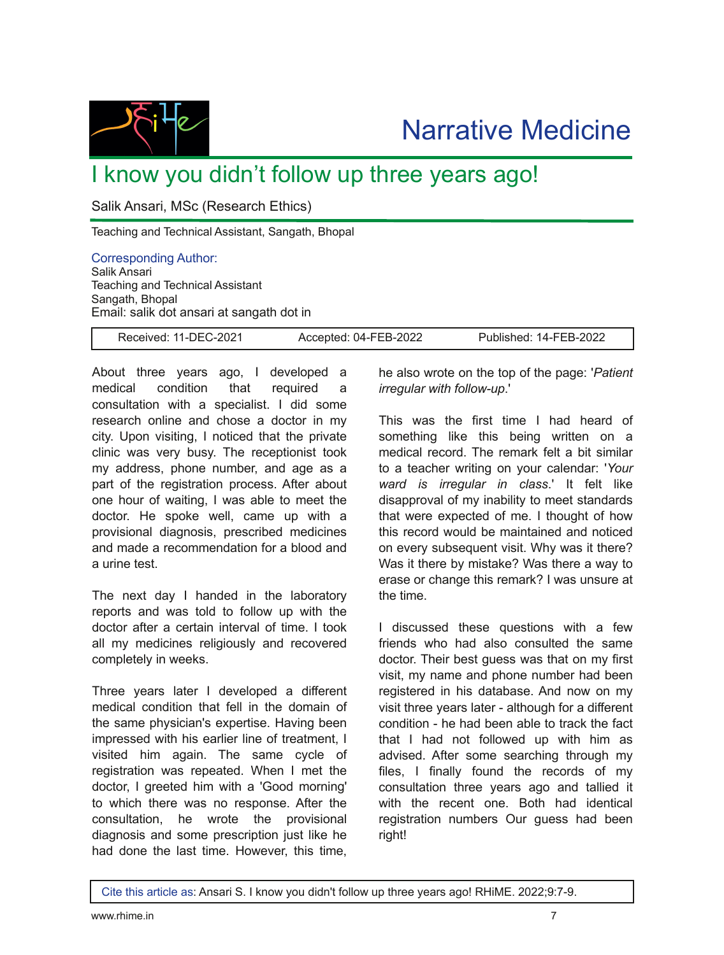

## I know you didn't follow up three years ago!

Salik Ansari, MSc (Research Ethics)

Teaching and Technical Assistant, Sangath, Bhopal

Corresponding Author: Salik Ansari Teaching and Technical Assistant Sangath, Bhopal Email: salik dot ansari at sangath dot in

Received: 11-DEC-2021 Accepted: 04-FEB-2022 Published: 14-FEB-2022

About three years ago, I developed a medical condition that required a consultation with a specialist. I did some research online and chose a doctor in my city. Upon visiting, I noticed that the private clinic was very busy. The receptionist took my address, phone number, and age as a part of the registration process. After about one hour of waiting, I was able to meet the doctor. He spoke well, came up with a provisional diagnosis, prescribed medicines and made a recommendation for a blood and a urine test.

The next day I handed in the laboratory reports and was told to follow up with the doctor after a certain interval of time. I took all my medicines religiously and recovered completely in weeks.

Three years later I developed a different medical condition that fell in the domain of the same physician's expertise. Having been impressed with his earlier line of treatment, I visited him again. The same cycle of registration was repeated. When I met the doctor, I greeted him with a 'Good morning' to which there was no response. After the consultation, he wrote the provisional diagnosis and some prescription just like he had done the last time. However, this time,

he also wrote on the top of the page: '*Patient irreqular with follow-up*.'

This was the first time I had heard of something like this being written on a medical record. The remark felt a bit similar to a teacher writing on your calendar: '*Your ward is irregular in class*.' It felt like disapproval of my inability to meet standards that were expected of me. I thought of how this record would be maintained and noticed on every subsequent visit. Why was it there? Was it there by mistake? Was there a way to erase or change this remark? I was unsure at the time.

I discussed these questions with a few friends who had also consulted the same doctor. Their best guess was that on my first visit, my name and phone number had been registered in his database. And now on my visit three years later - although for a different condition - he had been able to track the fact that I had not followed up with him as advised. After some searching through my files, I finally found the records of my consultation three years ago and tallied it with the recent one. Both had identical registration numbers Our guess had been right!

Cite this article as: Ansari S. I know you didn't follow up three years ago! RHiME. 2022;9:7-9.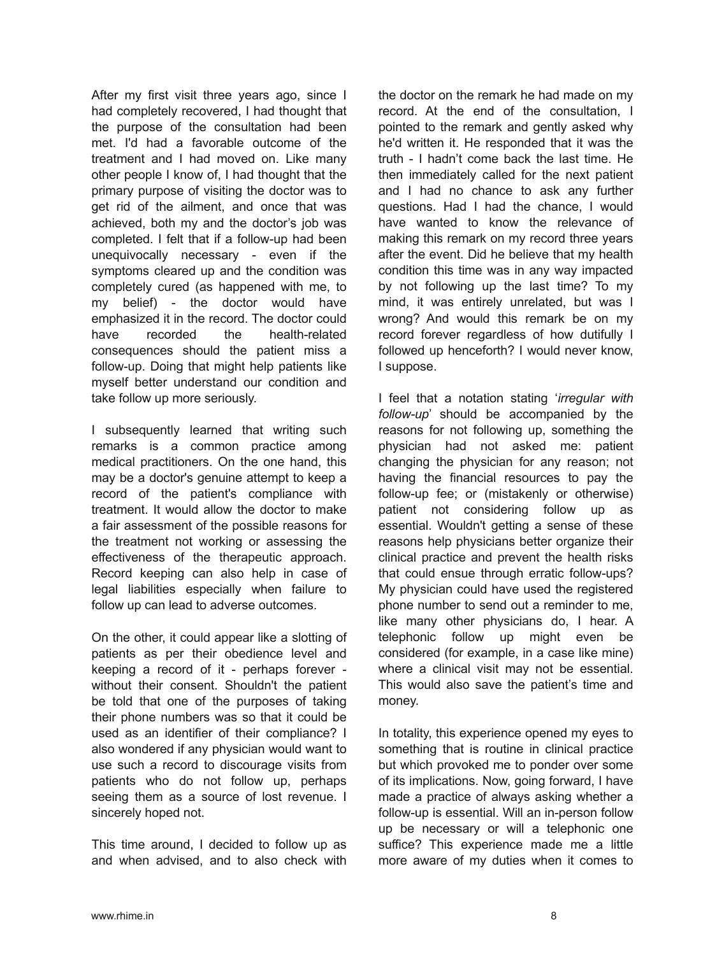After my first visit three years ago, since I had completely recovered, I had thought that the purpose of the consultation had been met. I'd had a favorable outcome of the treatment and I had moved on. Like many other people I know of, I had thought that the primary purpose of visiting the doctor was to get rid of the ailment, and once that was achieved, both my and the doctor's job was completed. I felt that if a follow-up had been unequivocally necessary - even if the symptoms cleared up and the condition was completely cured (as happened with me, to my belief) - the doctor would have emphasized it in the record. The doctor could have recorded the health-related consequences should the patient miss a follow-up. Doing that might help patients like myself better understand our condition and take follow up more seriously.

I subsequently learned that writing such remarks is a common practice among medical practitioners. On the one hand, this may be a doctor's genuine attempt to keep a record of the patient's compliance with treatment. It would allow the doctor to make a fair assessment of the possible reasons for the treatment not working or assessing the effectiveness of the therapeutic approach. Record keeping can also help in case of legal liabilities especially when failure to follow up can lead to adverse outcomes.

On the other, it could appear like a slotting of patients as per their obedience level and keeping a record of it - perhaps forever without their consent. Shouldn't the patient be told that one of the purposes of taking their phone numbers was so that it could be used as an identifier of their compliance? I also wondered if any physician would want to use such a record to discourage visits from patients who do not follow up, perhaps seeing them as a source of lost revenue. I sincerely hoped not.

This time around, I decided to follow up as and when advised, and to also check with

the doctor on the remark he had made on my record. At the end of the consultation, I pointed to the remark and gently asked why he'd written it. He responded that it was the truth - I hadn't come back the last time. He then immediately called for the next patient and I had no chance to ask any further questions. Had I had the chance, I would have wanted to know the relevance of making this remark on my record three years after the event. Did he believe that my health condition this time was in any way impacted by not following up the last time? To my mind, it was entirely unrelated, but was I wrong? And would this remark be on my record forever regardless of how dutifully I followed up henceforth? I would never know, I suppose.

I feel that a notation stating '*irregular with followup*' should be accompanied by the reasons for not following up, something the physician had not asked me: patient changing the physician for any reason; not having the financial resources to pay the follow-up fee; or (mistakenly or otherwise) patient not considering follow up as essential. Wouldn't getting a sense of these reasons help physicians better organize their clinical practice and prevent the health risks that could ensue through erratic follow-ups? My physician could have used the registered phone number to send out a reminder to me, like many other physicians do, I hear. A telephonic follow up might even be considered (for example, in a case like mine) where a clinical visit may not be essential. This would also save the patient's time and money.

In totality, this experience opened my eyes to something that is routine in clinical practice but which provoked me to ponder over some of its implications. Now, going forward, I have made a practice of always asking whether a follow-up is essential. Will an in-person follow up be necessary or will a telephonic one suffice? This experience made me a little more aware of my duties when it comes to